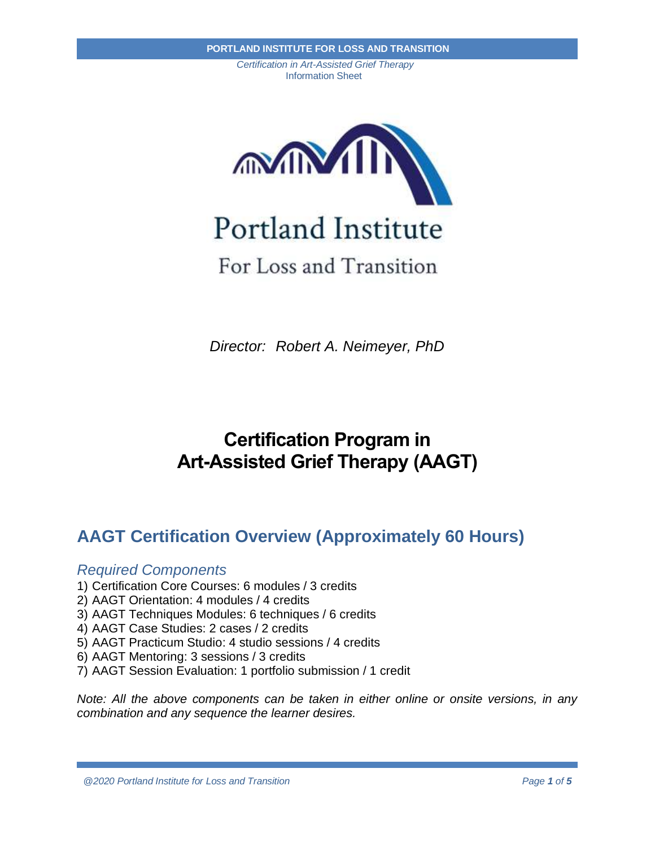



# For Loss and Transition

*Director: Robert A. Neimeyer, PhD*

# **Certification Program in Art-Assisted Grief Therapy (AAGT)**

# **AAGT Certification Overview (Approximately 60 Hours)**

## *Required Components*

- 1) Certification Core Courses: 6 modules / 3 credits
- 2) AAGT Orientation: 4 modules / 4 credits
- 3) AAGT Techniques Modules: 6 techniques / 6 credits
- 4) AAGT Case Studies: 2 cases / 2 credits
- 5) AAGT Practicum Studio: 4 studio sessions / 4 credits
- 6) AAGT Mentoring: 3 sessions / 3 credits
- 7) AAGT Session Evaluation: 1 portfolio submission / 1 credit

*Note: All the above components can be taken in either online or onsite versions, in any combination and any sequence the learner desires.*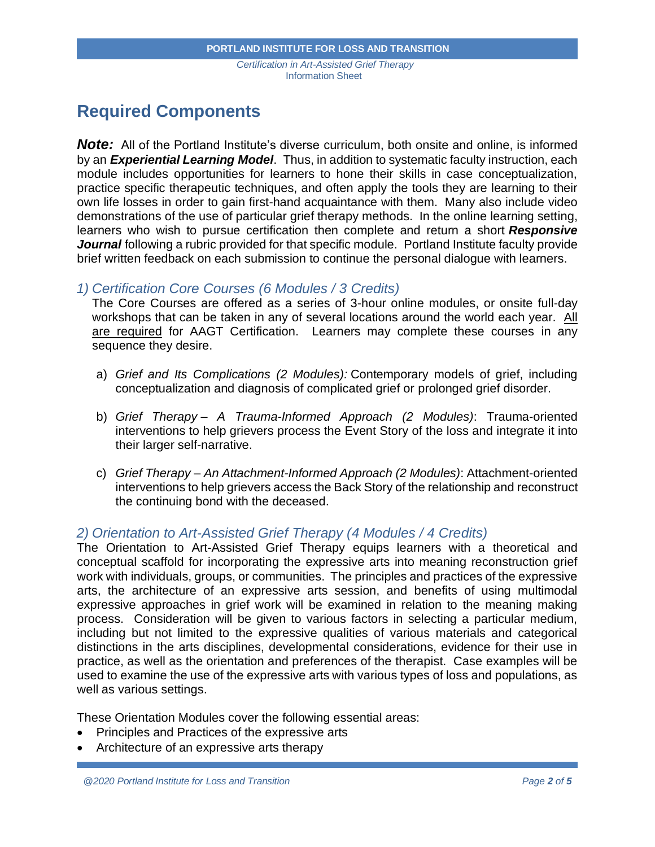## **Required Components**

*Note:* All of the Portland Institute's diverse curriculum, both onsite and online, is informed by an *Experiential Learning Model*. Thus, in addition to systematic faculty instruction, each module includes opportunities for learners to hone their skills in case conceptualization, practice specific therapeutic techniques, and often apply the tools they are learning to their own life losses in order to gain first-hand acquaintance with them. Many also include video demonstrations of the use of particular grief therapy methods. In the online learning setting, learners who wish to pursue certification then complete and return a short *Responsive Journal* following a rubric provided for that specific module. Portland Institute faculty provide brief written feedback on each submission to continue the personal dialogue with learners.

## *1) Certification Core Courses (6 Modules / 3 Credits)*

The Core Courses are offered as a series of 3-hour online modules, or onsite full-day workshops that can be taken in any of several locations around the world each year. All are required for AAGT Certification. Learners may complete these courses in any sequence they desire.

- a) *Grief and Its Complications (2 Modules):* Contemporary models of grief, including conceptualization and diagnosis of complicated grief or prolonged grief disorder.
- b) *Grief Therapy – A Trauma-Informed Approach (2 Modules)*: Trauma-oriented interventions to help grievers process the Event Story of the loss and integrate it into their larger self-narrative.
- c) *Grief Therapy – An Attachment-Informed Approach (2 Modules)*: Attachment-oriented interventions to help grievers access the Back Story of the relationship and reconstruct the continuing bond with the deceased.

## *2) Orientation to Art-Assisted Grief Therapy (4 Modules / 4 Credits)*

The Orientation to Art-Assisted Grief Therapy equips learners with a theoretical and conceptual scaffold for incorporating the expressive arts into meaning reconstruction grief work with individuals, groups, or communities. The principles and practices of the expressive arts, the architecture of an expressive arts session, and benefits of using multimodal expressive approaches in grief work will be examined in relation to the meaning making process. Consideration will be given to various factors in selecting a particular medium, including but not limited to the expressive qualities of various materials and categorical distinctions in the arts disciplines, developmental considerations, evidence for their use in practice, as well as the orientation and preferences of the therapist. Case examples will be used to examine the use of the expressive arts with various types of loss and populations, as well as various settings.

These Orientation Modules cover the following essential areas:

- Principles and Practices of the expressive arts
- Architecture of an expressive arts therapy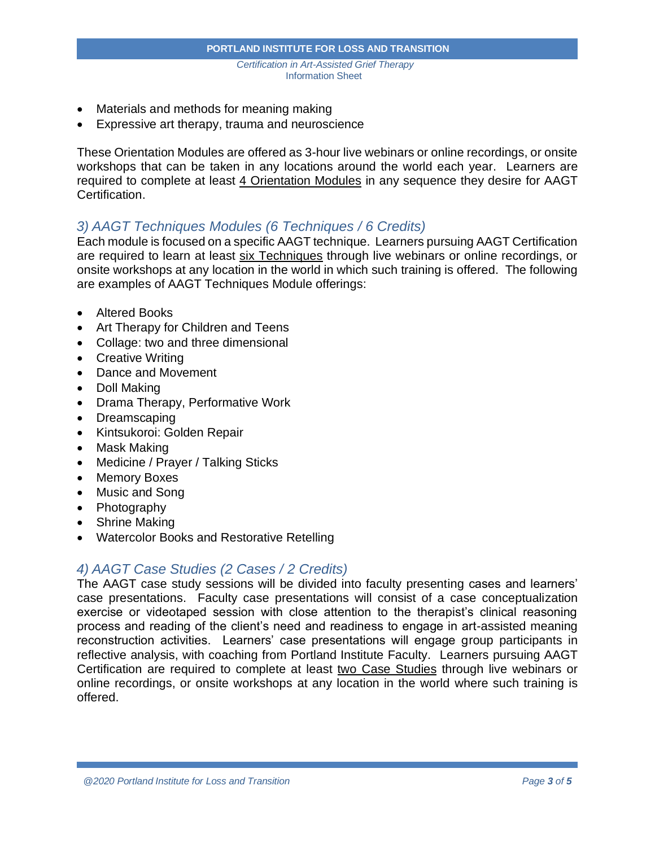- Materials and methods for meaning making
- Expressive art therapy, trauma and neuroscience

These Orientation Modules are offered as 3-hour live webinars or online recordings, or onsite workshops that can be taken in any locations around the world each year. Learners are required to complete at least 4 Orientation Modules in any sequence they desire for AAGT Certification.

## *3) AAGT Techniques Modules (6 Techniques / 6 Credits)*

Each module is focused on a specific AAGT technique. Learners pursuing AAGT Certification are required to learn at least six Techniques through live webinars or online recordings, or onsite workshops at any location in the world in which such training is offered. The following are examples of AAGT Techniques Module offerings:

- Altered Books
- Art Therapy for Children and Teens
- Collage: two and three dimensional
- Creative Writing
- Dance and Movement
- Doll Making
- Drama Therapy, Performative Work
- Dreamscaping
- Kintsukoroi: Golden Repair
- Mask Making
- Medicine / Prayer / Talking Sticks
- Memory Boxes
- Music and Song
- Photography
- Shrine Making
- Watercolor Books and Restorative Retelling

## *4) AAGT Case Studies (2 Cases / 2 Credits)*

The AAGT case study sessions will be divided into faculty presenting cases and learners' case presentations. Faculty case presentations will consist of a case conceptualization exercise or videotaped session with close attention to the therapist's clinical reasoning process and reading of the client's need and readiness to engage in art-assisted meaning reconstruction activities. Learners' case presentations will engage group participants in reflective analysis, with coaching from Portland Institute Faculty. Learners pursuing AAGT Certification are required to complete at least two Case Studies through live webinars or online recordings, or onsite workshops at any location in the world where such training is offered.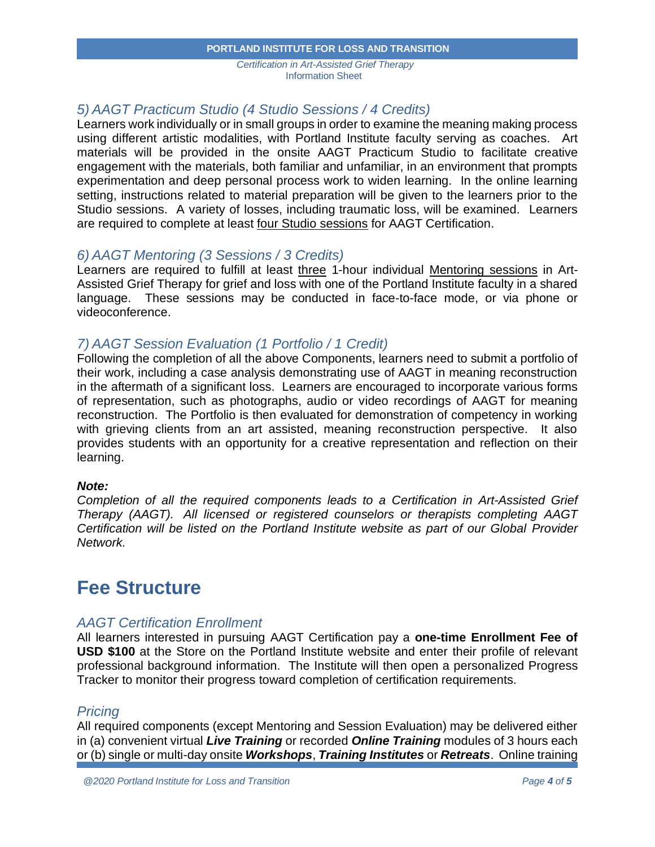#### **PORTLAND INSTITUTE FOR LOSS AND TRANSITION**

*Certification in Art-Assisted Grief Therapy* Information Sheet

## *5) AAGT Practicum Studio (4 Studio Sessions / 4 Credits)*

Learners work individually or in small groups in order to examine the meaning making process using different artistic modalities, with Portland Institute faculty serving as coaches. Art materials will be provided in the onsite AAGT Practicum Studio to facilitate creative engagement with the materials, both familiar and unfamiliar, in an environment that prompts experimentation and deep personal process work to widen learning. In the online learning setting, instructions related to material preparation will be given to the learners prior to the Studio sessions. A variety of losses, including traumatic loss, will be examined. Learners are required to complete at least four Studio sessions for AAGT Certification.

### *6) AAGT Mentoring (3 Sessions / 3 Credits)*

Learners are required to fulfill at least three 1-hour individual Mentoring sessions in Art-Assisted Grief Therapy for grief and loss with one of the Portland Institute faculty in a shared language. These sessions may be conducted in face-to-face mode, or via phone or videoconference.

## *7) AAGT Session Evaluation (1 Portfolio / 1 Credit)*

Following the completion of all the above Components, learners need to submit a portfolio of their work, including a case analysis demonstrating use of AAGT in meaning reconstruction in the aftermath of a significant loss. Learners are encouraged to incorporate various forms of representation, such as photographs, audio or video recordings of AAGT for meaning reconstruction. The Portfolio is then evaluated for demonstration of competency in working with grieving clients from an art assisted, meaning reconstruction perspective. It also provides students with an opportunity for a creative representation and reflection on their learning.

### *Note:*

*Completion of all the required components leads to a Certification in Art-Assisted Grief Therapy (AAGT). All licensed or registered counselors or therapists completing AAGT Certification will be listed on the Portland Institute website as part of our Global Provider Network.*

## **Fee Structure**

### *AAGT Certification Enrollment*

All learners interested in pursuing AAGT Certification pay a **one-time Enrollment Fee of USD \$100** at the Store on the Portland Institute website and enter their profile of relevant professional background information. The Institute will then open a personalized Progress Tracker to monitor their progress toward completion of certification requirements.

### *Pricing*

All required components (except Mentoring and Session Evaluation) may be delivered either in (a) convenient virtual *Live Training* or recorded *Online Training* modules of 3 hours each or (b) single or multi-day onsite *Workshops*, *Training Institutes* or *Retreats*. Online training